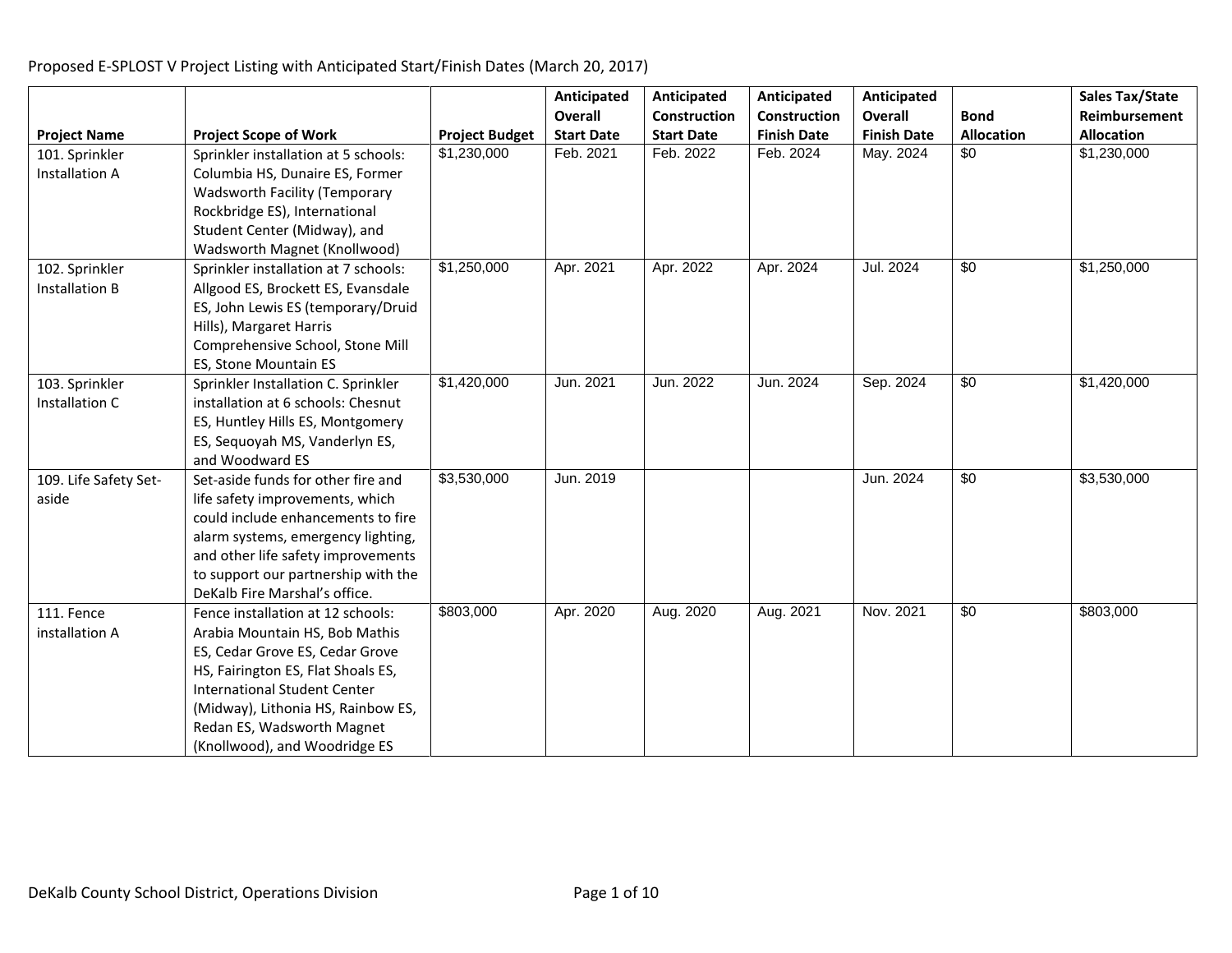|                       |                                      |                       | Anticipated       | Anticipated       | Anticipated         | Anticipated        |                   | <b>Sales Tax/State</b> |
|-----------------------|--------------------------------------|-----------------------|-------------------|-------------------|---------------------|--------------------|-------------------|------------------------|
|                       |                                      |                       | Overall           | Construction      | <b>Construction</b> | <b>Overall</b>     | <b>Bond</b>       | Reimbursement          |
| <b>Project Name</b>   | <b>Project Scope of Work</b>         | <b>Project Budget</b> | <b>Start Date</b> | <b>Start Date</b> | <b>Finish Date</b>  | <b>Finish Date</b> | <b>Allocation</b> | <b>Allocation</b>      |
| 101. Sprinkler        | Sprinkler installation at 5 schools: | \$1,230,000           | Feb. 2021         | Feb. 2022         | Feb. 2024           | May. 2024          | \$0               | \$1,230,000            |
| Installation A        | Columbia HS, Dunaire ES, Former      |                       |                   |                   |                     |                    |                   |                        |
|                       | Wadsworth Facility (Temporary        |                       |                   |                   |                     |                    |                   |                        |
|                       | Rockbridge ES), International        |                       |                   |                   |                     |                    |                   |                        |
|                       | Student Center (Midway), and         |                       |                   |                   |                     |                    |                   |                        |
|                       | Wadsworth Magnet (Knollwood)         |                       |                   |                   |                     |                    |                   |                        |
| 102. Sprinkler        | Sprinkler installation at 7 schools: | \$1,250,000           | Apr. 2021         | Apr. 2022         | Apr. 2024           | Jul. 2024          | \$0               | \$1,250,000            |
| <b>Installation B</b> | Allgood ES, Brockett ES, Evansdale   |                       |                   |                   |                     |                    |                   |                        |
|                       | ES, John Lewis ES (temporary/Druid   |                       |                   |                   |                     |                    |                   |                        |
|                       | Hills), Margaret Harris              |                       |                   |                   |                     |                    |                   |                        |
|                       | Comprehensive School, Stone Mill     |                       |                   |                   |                     |                    |                   |                        |
|                       | ES, Stone Mountain ES                |                       |                   |                   |                     |                    |                   |                        |
| 103. Sprinkler        | Sprinkler Installation C. Sprinkler  | \$1,420,000           | Jun. 2021         | Jun. 2022         | Jun. 2024           | Sep. 2024          | $\sqrt{6}$        | \$1,420,000            |
| Installation C        | installation at 6 schools: Chesnut   |                       |                   |                   |                     |                    |                   |                        |
|                       | ES, Huntley Hills ES, Montgomery     |                       |                   |                   |                     |                    |                   |                        |
|                       | ES, Sequoyah MS, Vanderlyn ES,       |                       |                   |                   |                     |                    |                   |                        |
|                       | and Woodward ES                      |                       |                   |                   |                     |                    |                   |                        |
| 109. Life Safety Set- | Set-aside funds for other fire and   | \$3,530,000           | Jun. 2019         |                   |                     | Jun. 2024          | $\sqrt{60}$       | \$3,530,000            |
| aside                 | life safety improvements, which      |                       |                   |                   |                     |                    |                   |                        |
|                       | could include enhancements to fire   |                       |                   |                   |                     |                    |                   |                        |
|                       | alarm systems, emergency lighting,   |                       |                   |                   |                     |                    |                   |                        |
|                       | and other life safety improvements   |                       |                   |                   |                     |                    |                   |                        |
|                       | to support our partnership with the  |                       |                   |                   |                     |                    |                   |                        |
|                       | DeKalb Fire Marshal's office.        |                       |                   |                   |                     |                    |                   |                        |
| 111. Fence            | Fence installation at 12 schools:    | \$803,000             | Apr. 2020         | Aug. 2020         | Aug. 2021           | Nov. 2021          | $\sqrt{60}$       | \$803,000              |
| installation A        | Arabia Mountain HS, Bob Mathis       |                       |                   |                   |                     |                    |                   |                        |
|                       | ES, Cedar Grove ES, Cedar Grove      |                       |                   |                   |                     |                    |                   |                        |
|                       | HS, Fairington ES, Flat Shoals ES,   |                       |                   |                   |                     |                    |                   |                        |
|                       | <b>International Student Center</b>  |                       |                   |                   |                     |                    |                   |                        |
|                       | (Midway), Lithonia HS, Rainbow ES,   |                       |                   |                   |                     |                    |                   |                        |
|                       | Redan ES, Wadsworth Magnet           |                       |                   |                   |                     |                    |                   |                        |
|                       | (Knollwood), and Woodridge ES        |                       |                   |                   |                     |                    |                   |                        |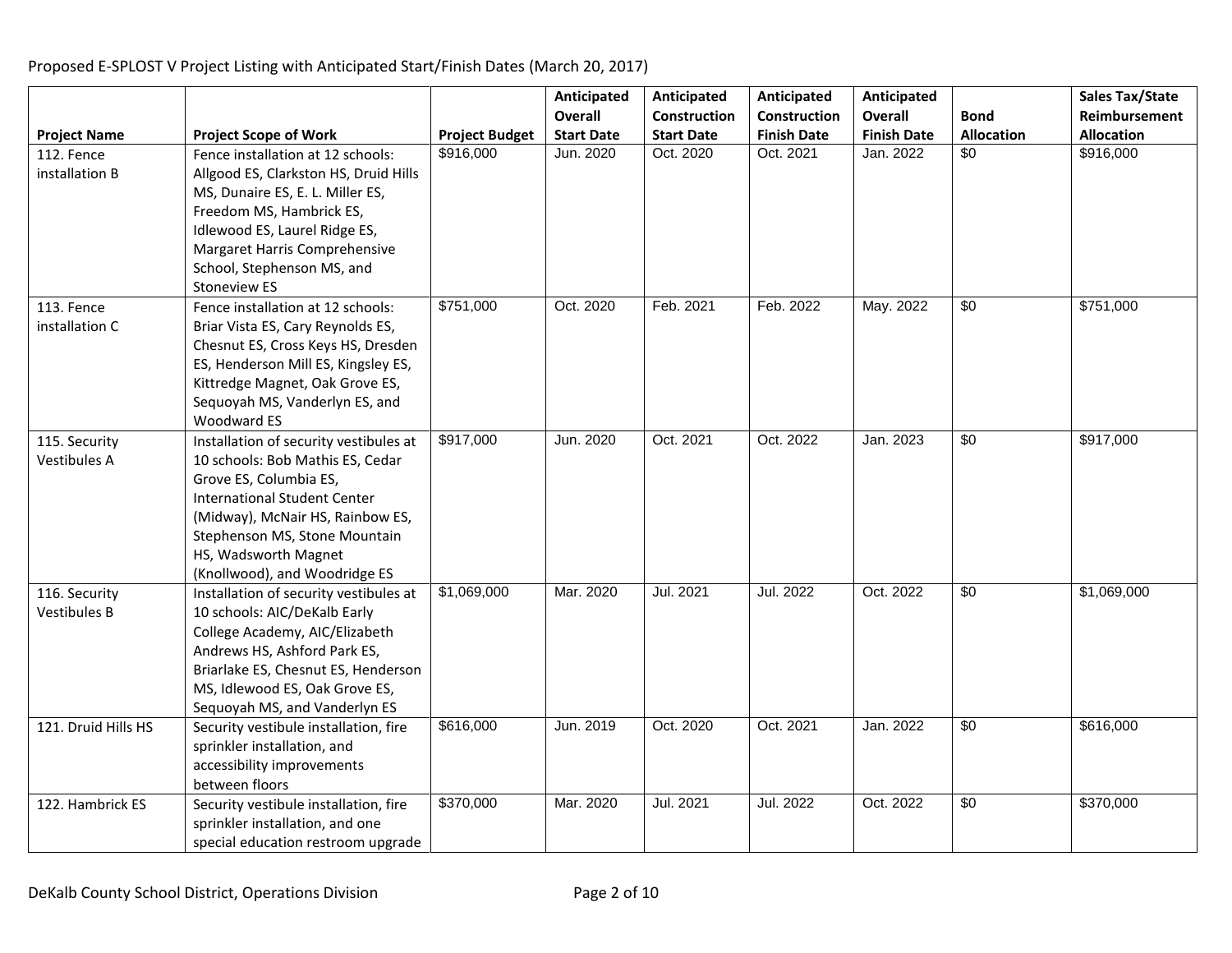|                     |                                        |                       | Anticipated       | Anticipated       | Anticipated        | Anticipated        |                   | Sales Tax/State   |
|---------------------|----------------------------------------|-----------------------|-------------------|-------------------|--------------------|--------------------|-------------------|-------------------|
|                     |                                        |                       | <b>Overall</b>    | Construction      | Construction       | <b>Overall</b>     | <b>Bond</b>       | Reimbursement     |
| <b>Project Name</b> | <b>Project Scope of Work</b>           | <b>Project Budget</b> | <b>Start Date</b> | <b>Start Date</b> | <b>Finish Date</b> | <b>Finish Date</b> | <b>Allocation</b> | <b>Allocation</b> |
| 112. Fence          | Fence installation at 12 schools:      | \$916,000             | Jun. 2020         | Oct. 2020         | Oct. 2021          | Jan. 2022          | $\overline{50}$   | \$916,000         |
| installation B      | Allgood ES, Clarkston HS, Druid Hills  |                       |                   |                   |                    |                    |                   |                   |
|                     | MS, Dunaire ES, E. L. Miller ES,       |                       |                   |                   |                    |                    |                   |                   |
|                     | Freedom MS, Hambrick ES,               |                       |                   |                   |                    |                    |                   |                   |
|                     | Idlewood ES, Laurel Ridge ES,          |                       |                   |                   |                    |                    |                   |                   |
|                     | Margaret Harris Comprehensive          |                       |                   |                   |                    |                    |                   |                   |
|                     | School, Stephenson MS, and             |                       |                   |                   |                    |                    |                   |                   |
|                     | Stoneview ES                           |                       |                   |                   |                    |                    |                   |                   |
| 113. Fence          | Fence installation at 12 schools:      | \$751,000             | Oct. 2020         | Feb. 2021         | Feb. 2022          | May. 2022          | $\overline{50}$   | \$751,000         |
| installation C      | Briar Vista ES, Cary Reynolds ES,      |                       |                   |                   |                    |                    |                   |                   |
|                     | Chesnut ES, Cross Keys HS, Dresden     |                       |                   |                   |                    |                    |                   |                   |
|                     | ES, Henderson Mill ES, Kingsley ES,    |                       |                   |                   |                    |                    |                   |                   |
|                     | Kittredge Magnet, Oak Grove ES,        |                       |                   |                   |                    |                    |                   |                   |
|                     | Sequoyah MS, Vanderlyn ES, and         |                       |                   |                   |                    |                    |                   |                   |
|                     | <b>Woodward ES</b>                     |                       |                   |                   |                    |                    |                   |                   |
| 115. Security       | Installation of security vestibules at | \$917,000             | Jun. 2020         | Oct. 2021         | Oct. 2022          | Jan. 2023          | \$0               | \$917,000         |
| <b>Vestibules A</b> | 10 schools: Bob Mathis ES, Cedar       |                       |                   |                   |                    |                    |                   |                   |
|                     | Grove ES, Columbia ES,                 |                       |                   |                   |                    |                    |                   |                   |
|                     | <b>International Student Center</b>    |                       |                   |                   |                    |                    |                   |                   |
|                     | (Midway), McNair HS, Rainbow ES,       |                       |                   |                   |                    |                    |                   |                   |
|                     | Stephenson MS, Stone Mountain          |                       |                   |                   |                    |                    |                   |                   |
|                     | HS, Wadsworth Magnet                   |                       |                   |                   |                    |                    |                   |                   |
|                     | (Knollwood), and Woodridge ES          |                       |                   |                   |                    |                    |                   |                   |
| 116. Security       | Installation of security vestibules at | \$1,069,000           | Mar. 2020         | Jul. 2021         | Jul. 2022          | Oct. 2022          | \$0               | \$1,069,000       |
| <b>Vestibules B</b> | 10 schools: AIC/DeKalb Early           |                       |                   |                   |                    |                    |                   |                   |
|                     | College Academy, AIC/Elizabeth         |                       |                   |                   |                    |                    |                   |                   |
|                     | Andrews HS, Ashford Park ES,           |                       |                   |                   |                    |                    |                   |                   |
|                     | Briarlake ES, Chesnut ES, Henderson    |                       |                   |                   |                    |                    |                   |                   |
|                     | MS, Idlewood ES, Oak Grove ES,         |                       |                   |                   |                    |                    |                   |                   |
|                     | Sequoyah MS, and Vanderlyn ES          |                       |                   |                   |                    |                    |                   |                   |
| 121. Druid Hills HS | Security vestibule installation, fire  | \$616,000             | Jun. 2019         | Oct. 2020         | Oct. 2021          | Jan. 2022          | $\overline{50}$   | \$616,000         |
|                     | sprinkler installation, and            |                       |                   |                   |                    |                    |                   |                   |
|                     | accessibility improvements             |                       |                   |                   |                    |                    |                   |                   |
|                     | between floors                         |                       |                   |                   |                    |                    |                   |                   |
| 122. Hambrick ES    | Security vestibule installation, fire  | \$370,000             | Mar. 2020         | Jul. 2021         | Jul. 2022          | Oct. 2022          | $\sqrt{60}$       | \$370,000         |
|                     | sprinkler installation, and one        |                       |                   |                   |                    |                    |                   |                   |
|                     | special education restroom upgrade     |                       |                   |                   |                    |                    |                   |                   |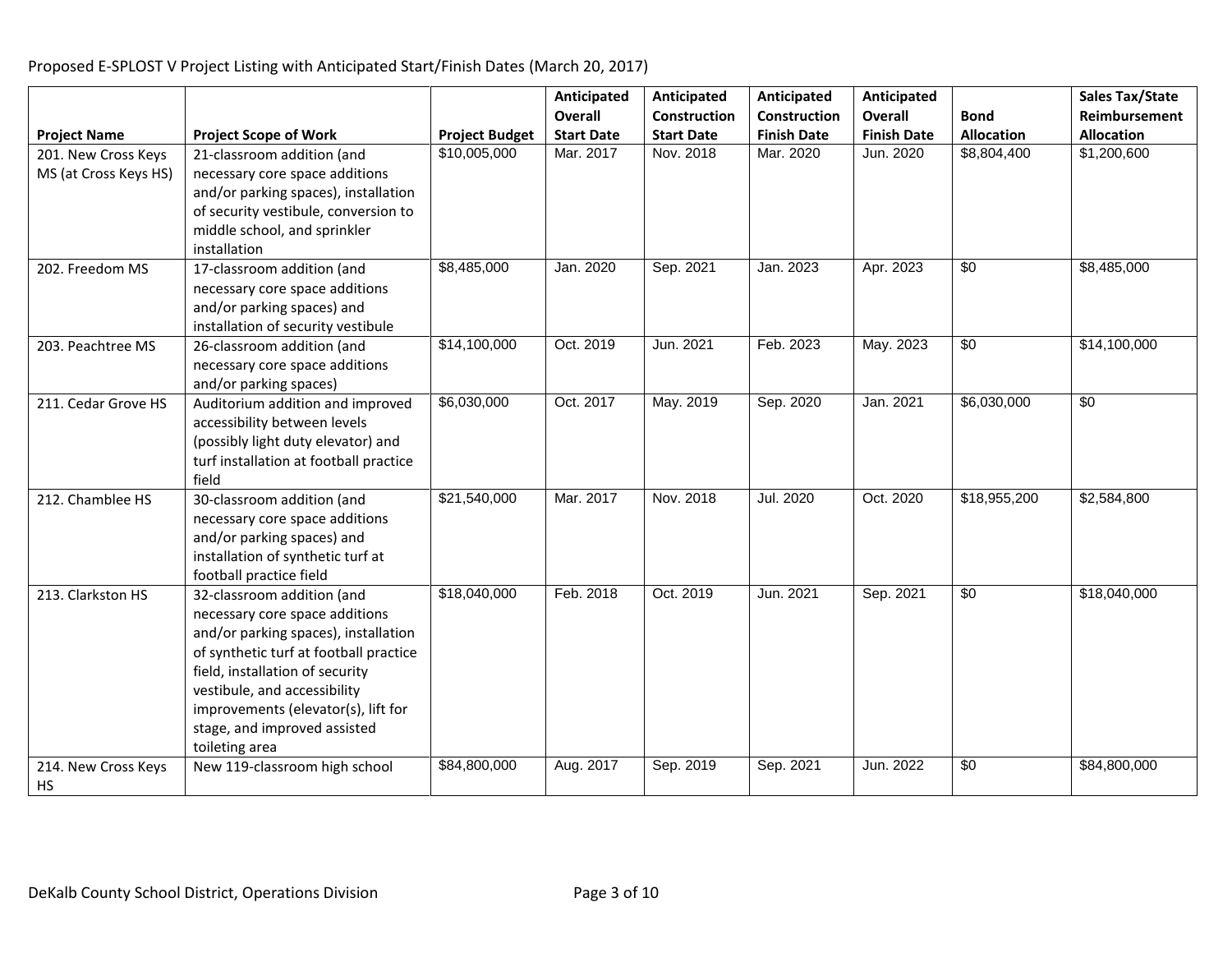**Project Name Project Scope of Work Project Budget Anticipated Overall Start Date Anticipated Construction Start Date Anticipated Construction Finish Date Anticipated Overall Finish Date Bond Allocation Sales Tax/State Reimbursement Allocation** 201. New Cross Keys MS (at Cross Keys HS) 21-classroom addition (and necessary core space additions and/or parking spaces), installation of security vestibule, conversion to middle school, and sprinkler installation \$10,005,000 | Mar. 2017 | Nov. 2018 | Mar. 2020 | Jun. 2020 | \$8,804,400 | \$1,200,600 202. Freedom MS 17-classroom addition (and necessary core space additions and/or parking spaces) and installation of security vestibule \$8,485,000 Jan. 2020 Sep. 2021 Jan. 2023 Apr. 2023 \$0 \$8,485,000 203. Peachtree MS 26-classroom addition (and necessary core space additions and/or parking spaces)  $\frac{1}{314,100,000}$  Oct. 2019 Jun. 2021 Feb. 2023 May. 2023 \$0 \$14,100,000 211. Cedar Grove  $HS$  | Auditorium addition and improved accessibility between levels (possibly light duty elevator) and turf installation at football practice field \$6,030,000 Oct. 2017 May. 2019 Sep. 2020 Jan. 2021 \$6,030,000 \$0 212. Chamblee HS 30-classroom addition (and necessary core space additions and/or parking spaces) and installation of synthetic turf at football practice field \$21,540,000 Mar. 2017 Nov. 2018 Jul. 2020 Oct. 2020 \$18,955,200 \$2,584,800 213. Clarkston HS 32-classroom addition (and necessary core space additions and/or parking spaces), installation of synthetic turf at football practice field, installation of security vestibule, and accessibility improvements (elevator(s), lift for stage, and improved assisted toileting area \$18,040,000 | Feb. 2018 | Oct. 2019 | Jun. 2021 | Sep. 2021 | \$0 | \$18,040,000 214. New Cross Keys HS New 119-classroom high school | \$84,800,000 | Aug. 2017 | Sep. 2019 | Sep. 2021 | Jun. 2022 | \$0 | \$84,800,000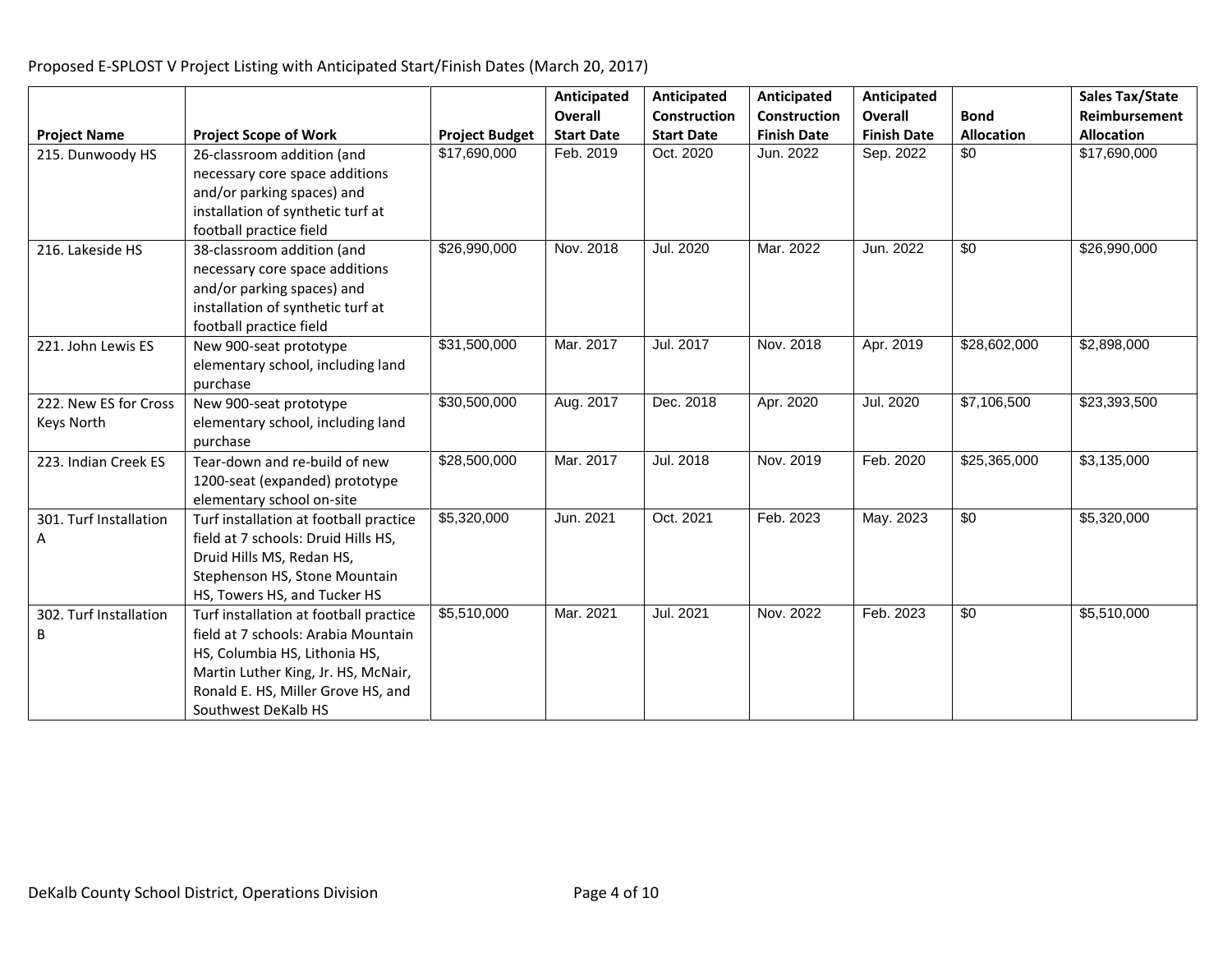|                        |                                        |                       | Anticipated       | Anticipated       | Anticipated         | Anticipated        |                   | <b>Sales Tax/State</b> |
|------------------------|----------------------------------------|-----------------------|-------------------|-------------------|---------------------|--------------------|-------------------|------------------------|
|                        |                                        |                       | Overall           | Construction      | <b>Construction</b> | Overall            | <b>Bond</b>       | Reimbursement          |
| <b>Project Name</b>    | <b>Project Scope of Work</b>           | <b>Project Budget</b> | <b>Start Date</b> | <b>Start Date</b> | <b>Finish Date</b>  | <b>Finish Date</b> | <b>Allocation</b> | <b>Allocation</b>      |
| 215. Dunwoody HS       | 26-classroom addition (and             | \$17,690,000          | Feb. 2019         | Oct. 2020         | Jun. 2022           | Sep. 2022          | \$0               | \$17,690,000           |
|                        | necessary core space additions         |                       |                   |                   |                     |                    |                   |                        |
|                        | and/or parking spaces) and             |                       |                   |                   |                     |                    |                   |                        |
|                        | installation of synthetic turf at      |                       |                   |                   |                     |                    |                   |                        |
|                        | football practice field                |                       |                   |                   |                     |                    |                   |                        |
| 216. Lakeside HS       | 38-classroom addition (and             | \$26,990,000          | Nov. 2018         | Jul. 2020         | Mar. 2022           | Jun. 2022          | $\sqrt{6}$        | \$26,990,000           |
|                        | necessary core space additions         |                       |                   |                   |                     |                    |                   |                        |
|                        | and/or parking spaces) and             |                       |                   |                   |                     |                    |                   |                        |
|                        | installation of synthetic turf at      |                       |                   |                   |                     |                    |                   |                        |
|                        | football practice field                |                       |                   |                   |                     |                    |                   |                        |
| 221. John Lewis ES     | New 900-seat prototype                 | \$31,500,000          | Mar. 2017         | Jul. 2017         | Nov. 2018           | Apr. 2019          | \$28,602,000      | \$2,898,000            |
|                        | elementary school, including land      |                       |                   |                   |                     |                    |                   |                        |
|                        | purchase                               |                       |                   |                   |                     |                    |                   |                        |
| 222. New ES for Cross  | New 900-seat prototype                 | \$30,500,000          | Aug. 2017         | Dec. 2018         | Apr. 2020           | Jul. 2020          | \$7,106,500       | \$23,393,500           |
| Keys North             | elementary school, including land      |                       |                   |                   |                     |                    |                   |                        |
|                        | purchase                               |                       |                   |                   |                     |                    |                   |                        |
| 223. Indian Creek ES   | Tear-down and re-build of new          | \$28,500,000          | Mar. 2017         | Jul. 2018         | Nov. 2019           | Feb. 2020          | \$25,365,000      | \$3,135,000            |
|                        | 1200-seat (expanded) prototype         |                       |                   |                   |                     |                    |                   |                        |
|                        | elementary school on-site              |                       |                   |                   |                     |                    |                   |                        |
| 301. Turf Installation | Turf installation at football practice | \$5,320,000           | Jun. 2021         | Oct. 2021         | Feb. 2023           | May. 2023          | $\overline{50}$   | \$5,320,000            |
| А                      | field at 7 schools: Druid Hills HS,    |                       |                   |                   |                     |                    |                   |                        |
|                        | Druid Hills MS, Redan HS,              |                       |                   |                   |                     |                    |                   |                        |
|                        | Stephenson HS, Stone Mountain          |                       |                   |                   |                     |                    |                   |                        |
|                        | HS, Towers HS, and Tucker HS           |                       |                   |                   |                     |                    |                   |                        |
| 302. Turf Installation | Turf installation at football practice | \$5,510,000           | Mar. 2021         | Jul. 2021         | Nov. 2022           | Feb. 2023          | $\sqrt{6}$        | \$5,510,000            |
| B                      | field at 7 schools: Arabia Mountain    |                       |                   |                   |                     |                    |                   |                        |
|                        | HS, Columbia HS, Lithonia HS,          |                       |                   |                   |                     |                    |                   |                        |
|                        | Martin Luther King, Jr. HS, McNair,    |                       |                   |                   |                     |                    |                   |                        |
|                        | Ronald E. HS, Miller Grove HS, and     |                       |                   |                   |                     |                    |                   |                        |
|                        | Southwest DeKalb HS                    |                       |                   |                   |                     |                    |                   |                        |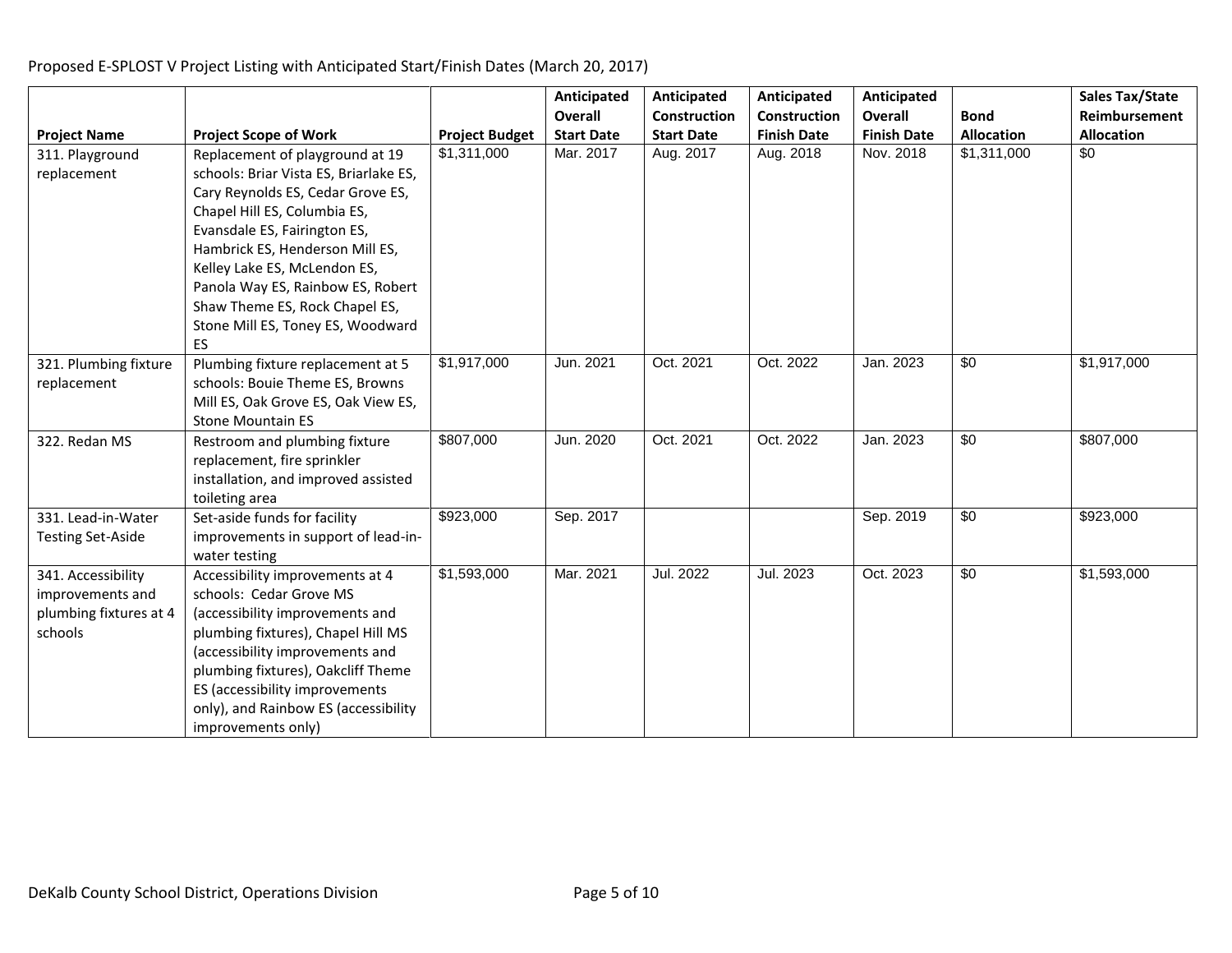|                                                                             |                                                                                                                                                                                                                                                                                                                                                                     |                       | Anticipated<br>Overall | Anticipated<br>Construction | Anticipated<br>Construction | Anticipated<br><b>Overall</b> | <b>Bond</b>       | Sales Tax/State<br>Reimbursement |
|-----------------------------------------------------------------------------|---------------------------------------------------------------------------------------------------------------------------------------------------------------------------------------------------------------------------------------------------------------------------------------------------------------------------------------------------------------------|-----------------------|------------------------|-----------------------------|-----------------------------|-------------------------------|-------------------|----------------------------------|
| <b>Project Name</b>                                                         | <b>Project Scope of Work</b>                                                                                                                                                                                                                                                                                                                                        | <b>Project Budget</b> | <b>Start Date</b>      | <b>Start Date</b>           | <b>Finish Date</b>          | <b>Finish Date</b>            | <b>Allocation</b> | <b>Allocation</b>                |
| 311. Playground<br>replacement                                              | Replacement of playground at 19<br>schools: Briar Vista ES, Briarlake ES,<br>Cary Reynolds ES, Cedar Grove ES,<br>Chapel Hill ES, Columbia ES,<br>Evansdale ES, Fairington ES,<br>Hambrick ES, Henderson Mill ES,<br>Kelley Lake ES, McLendon ES,<br>Panola Way ES, Rainbow ES, Robert<br>Shaw Theme ES, Rock Chapel ES,<br>Stone Mill ES, Toney ES, Woodward<br>ES | \$1,311,000           | Mar. 2017              | Aug. 2017                   | Aug. 2018                   | Nov. 2018                     | \$1,311,000       | $\sqrt{60}$                      |
| 321. Plumbing fixture<br>replacement                                        | Plumbing fixture replacement at 5<br>schools: Bouie Theme ES, Browns<br>Mill ES, Oak Grove ES, Oak View ES,<br><b>Stone Mountain ES</b>                                                                                                                                                                                                                             | \$1,917,000           | Jun. 2021              | Oct. 2021                   | Oct. 2022                   | Jan. 2023                     | \$0               | \$1,917,000                      |
| 322. Redan MS                                                               | Restroom and plumbing fixture<br>replacement, fire sprinkler<br>installation, and improved assisted<br>toileting area                                                                                                                                                                                                                                               | \$807,000             | Jun. 2020              | Oct. 2021                   | Oct. 2022                   | Jan. 2023                     | \$0               | \$807,000                        |
| 331. Lead-in-Water<br><b>Testing Set-Aside</b>                              | Set-aside funds for facility<br>improvements in support of lead-in-<br>water testing                                                                                                                                                                                                                                                                                | \$923,000             | Sep. 2017              |                             |                             | Sep. 2019                     | \$0               | \$923,000                        |
| 341. Accessibility<br>improvements and<br>plumbing fixtures at 4<br>schools | Accessibility improvements at 4<br>schools: Cedar Grove MS<br>(accessibility improvements and<br>plumbing fixtures), Chapel Hill MS<br>(accessibility improvements and<br>plumbing fixtures), Oakcliff Theme<br>ES (accessibility improvements<br>only), and Rainbow ES (accessibility<br>improvements only)                                                        | \$1,593,000           | Mar. 2021              | Jul. 2022                   | Jul. 2023                   | Oct. 2023                     | $\sqrt{50}$       | \$1,593,000                      |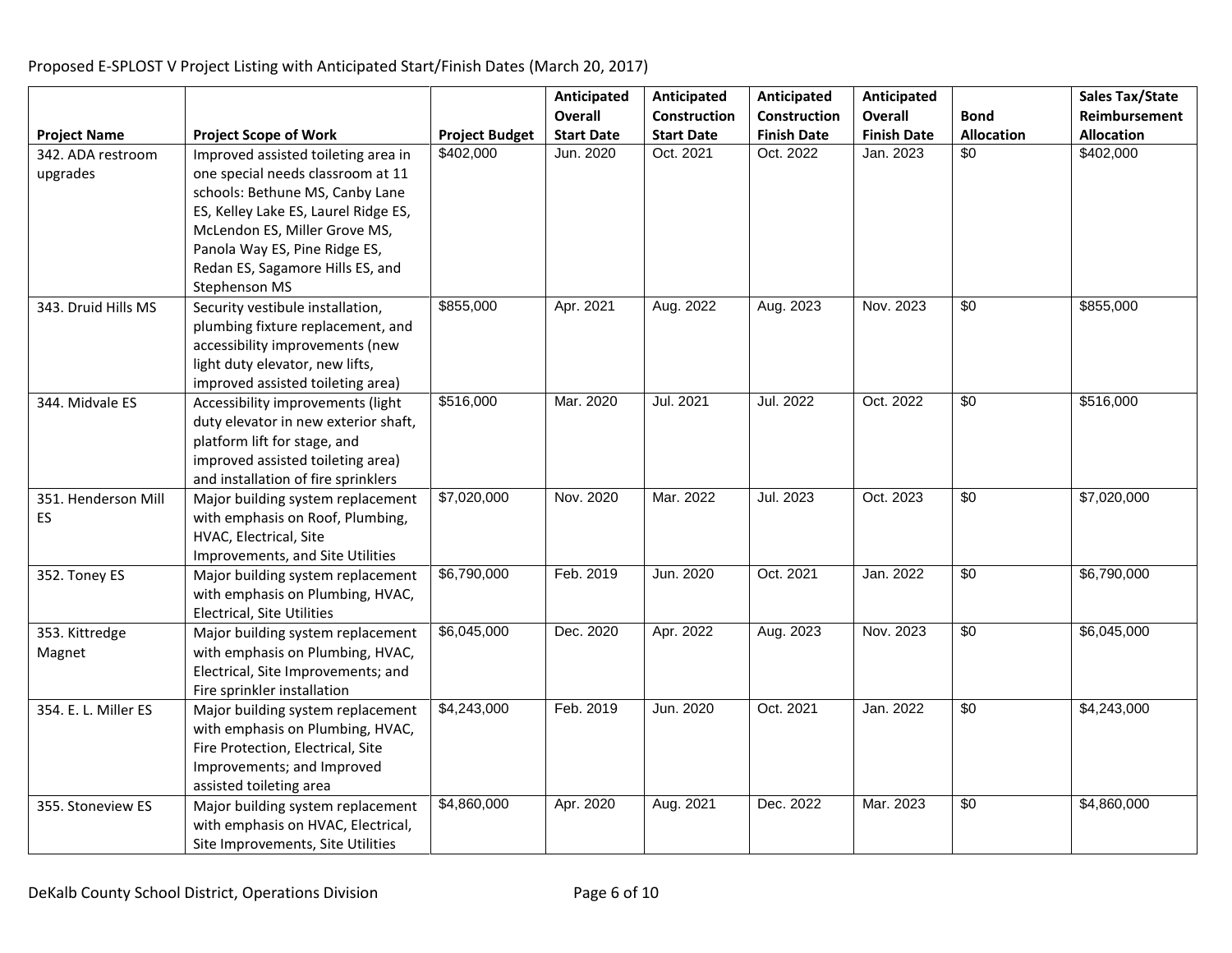**Project Name Project Scope of Work Project Budget Anticipated Overall Start Date Anticipated Construction Start Date Anticipated Construction Finish Date Anticipated Overall Finish Date Bond Allocation Sales Tax/State Reimbursement Allocation** 342. ADA restroom upgrades Improved assisted toileting area in one special needs classroom at 11 schools: Bethune MS, Canby Lane ES, Kelley Lake ES, Laurel Ridge ES, McLendon ES, Miller Grove MS, Panola Way ES, Pine Ridge ES, Redan ES, Sagamore Hills ES, and Stephenson MS \$402,000 | Jun. 2020 | Oct. 2021 | Oct. 2022 | Jan. 2023 | \$0 | \$402,000 343. Druid Hills MS  $\left| \right|$  Security vestibule installation, plumbing fixture replacement, and accessibility improvements (new light duty elevator, new lifts, improved assisted toileting area) \$855,000 | Apr. 2021 | Aug. 2022 | Aug. 2023 | Nov. 2023 | \$0 | \$855,000 344. Midvale ES Accessibility improvements (light duty elevator in new exterior shaft, platform lift for stage, and improved assisted toileting area) and installation of fire sprinklers \$516,000 | Mar. 2020 | Jul. 2021 | Jul. 2022 | Oct. 2022 | \$0 | \$516,000 351. Henderson Mill ES Major building system replacement with emphasis on Roof, Plumbing, HVAC, Electrical, Site Improvements, and Site Utilities \$7,020,000 Nov. 2020 Mar. 2022 Jul. 2023 Oct. 2023 \$0 \$7,020,000 352. Toney ES Major building system replacement with emphasis on Plumbing, HVAC, Electrical, Site Utilities \$6,790,000 Feb. 2019 Jun. 2020 Oct. 2021 Jan. 2022 \$0 \$6,790,000 353. Kittredge Magnet Major building system replacement with emphasis on Plumbing, HVAC, Electrical, Site Improvements; and Fire sprinkler installation  $\frac{6,045,000}{86,045,000}$  Dec. 2020 | Apr. 2022 | Aug. 2023 | Nov. 2023 | \$0 | \$6,045,000 354. E. L. Miller ES | Major building system replacement with emphasis on Plumbing, HVAC, Fire Protection, Electrical, Site Improvements; and Improved assisted toileting area \$4,243,000 Feb. 2019 Jun. 2020 Oct. 2021 Jan. 2022 \$0 \$4,243,000 355. Stoneview ES Major building system replacement with emphasis on HVAC, Electrical, Site Improvements, Site Utilities \$4,860,000 Apr. 2020 Aug. 2021 Dec. 2022 Mar. 2023 \$0 \$4,860,000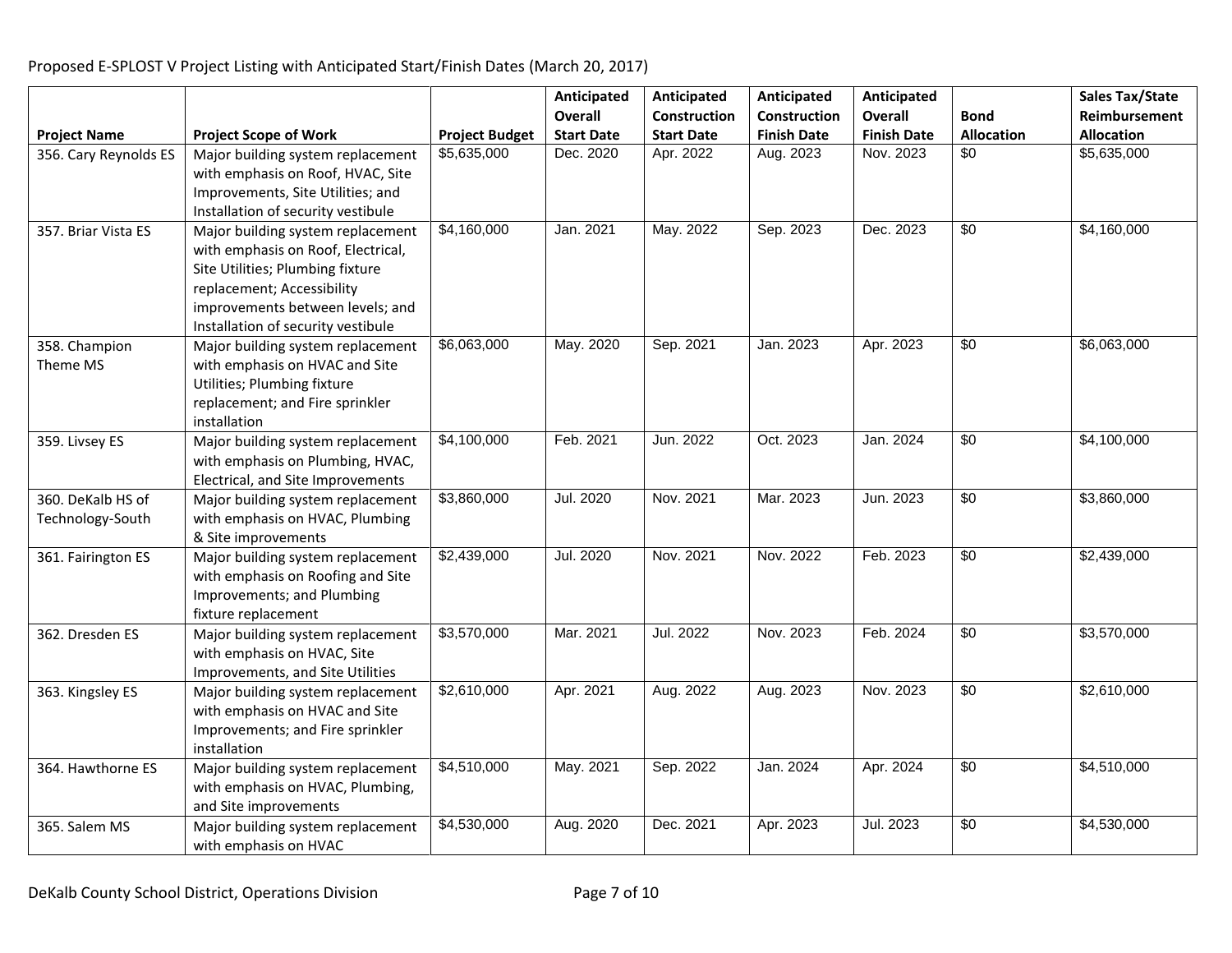**Project Name Project Scope of Work Project Budget Anticipated Overall Start Date Anticipated Construction Start Date Anticipated Construction Finish Date Anticipated Overall Finish Date Bond Allocation Sales Tax/State Reimbursement Allocation** 356. Cary Reynolds ES | Major building system replacement with emphasis on Roof, HVAC, Site Improvements, Site Utilities; and Installation of security vestibule \$5,635,000 | Dec. 2020 | Apr. 2022 | Aug. 2023 | Nov. 2023 | \$0 | \$5,635,000 357. Briar Vista ES Major building system replacement with emphasis on Roof, Electrical, Site Utilities; Plumbing fixture replacement; Accessibility improvements between levels; and Installation of security vestibule \$4,160,000 | Jan. 2021 | May. 2022 | Sep. 2023 | Dec. 2023 | \$0 | \$4,160,000 358. Champion Theme MS Major building system replacement with emphasis on HVAC and Site Utilities; Plumbing fixture replacement; and Fire sprinkler installation \$6,063,000 May. 2020 Sep. 2021 Jan. 2023 Apr. 2023 \$0 \$6,063,000 359. Livsey ES Major building system replacement with emphasis on Plumbing, HVAC, Electrical, and Site Improvements \$4,100,000 Feb. 2021 Jun. 2022 Oct. 2023 Jan. 2024 \$0 \$4,100,000 360. DeKalb HS of Technology-South Major building system replacement with emphasis on HVAC, Plumbing & Site improvements \$3,860,000 | Jul. 2020 | Nov. 2021 | Mar. 2023 | Jun. 2023 | \$0 | \$3,860,000 361. Fairington ES | Major building system replacement with emphasis on Roofing and Site Improvements; and Plumbing fixture replacement \$2,439,000 | Jul. 2020 | Nov. 2021 | Nov. 2022 | Feb. 2023 | \$0 | \$2,439,000 362. Dresden ES Major building system replacement with emphasis on HVAC, Site Improvements, and Site Utilities \$3,570,000 Mar. 2021 Jul. 2022 Nov. 2023 Feb. 2024 \$0 \$3,570,000 363. Kingsley ES Major building system replacement with emphasis on HVAC and Site Improvements; and Fire sprinkler installation \$2,610,000 Apr. 2021 Aug. 2022 Aug. 2023 Nov. 2023 \$0 \$2,610,000 364. Hawthorne ES | Major building system replacement with emphasis on HVAC, Plumbing, and Site improvements \$4,510,000 May. 2021 Sep. 2022 Jan. 2024 Apr. 2024 \$0 \$4,510,000 365. Salem MS Major building system replacement with emphasis on HVAC \$4,530,000 | Aug. 2020 | Dec. 2021 | Apr. 2023 | Jul. 2023 | \$0 | \$4,530,000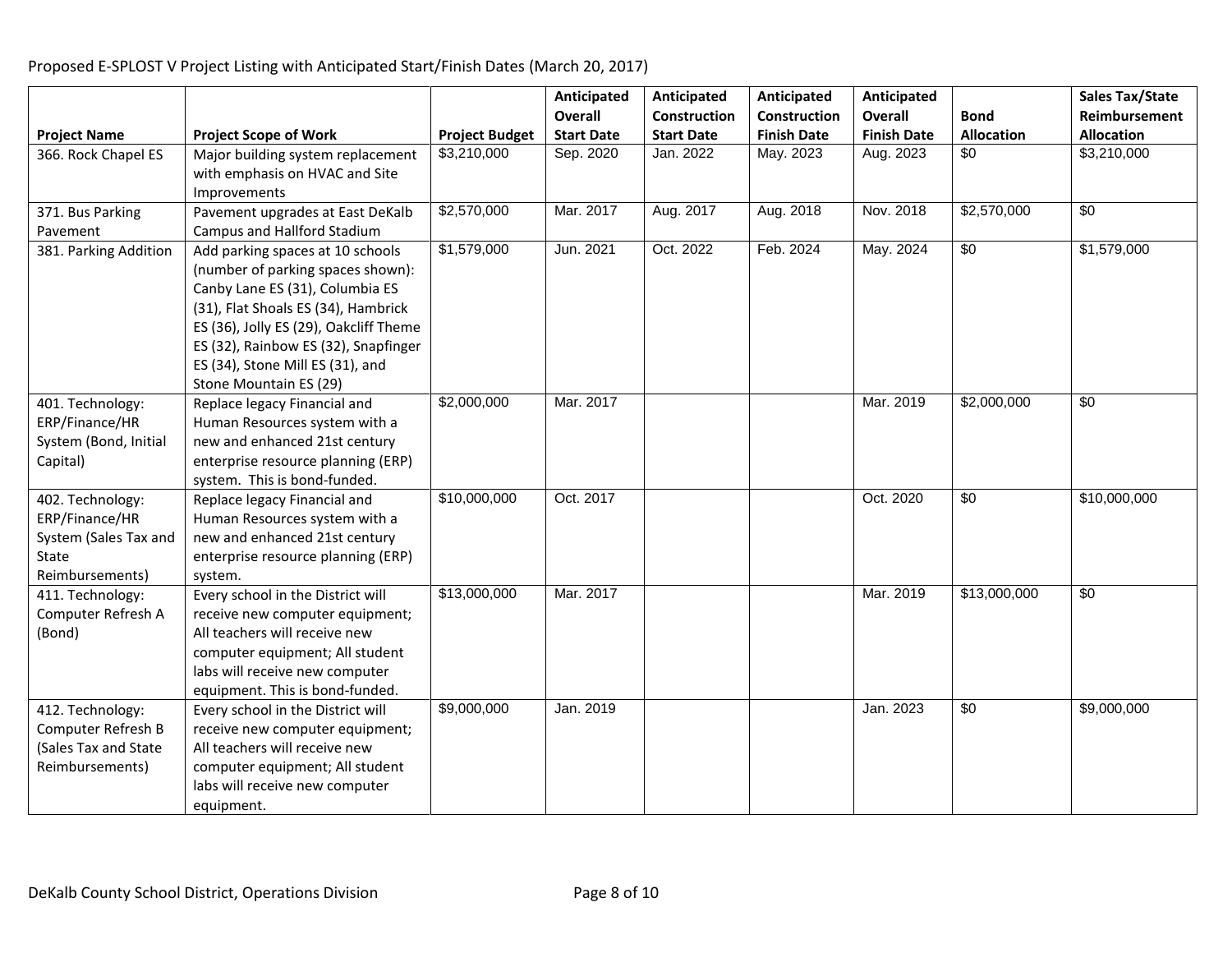|                       |                                                              |                       | Anticipated       | Anticipated       | Anticipated        | Anticipated        |                   | Sales Tax/State   |
|-----------------------|--------------------------------------------------------------|-----------------------|-------------------|-------------------|--------------------|--------------------|-------------------|-------------------|
|                       |                                                              |                       | <b>Overall</b>    | Construction      | Construction       | <b>Overall</b>     | <b>Bond</b>       | Reimbursement     |
| <b>Project Name</b>   | <b>Project Scope of Work</b>                                 | <b>Project Budget</b> | <b>Start Date</b> | <b>Start Date</b> | <b>Finish Date</b> | <b>Finish Date</b> | <b>Allocation</b> | <b>Allocation</b> |
| 366. Rock Chapel ES   | Major building system replacement                            | \$3,210,000           | Sep. 2020         | Jan. 2022         | May. 2023          | Aug. 2023          | \$0               | \$3,210,000       |
|                       | with emphasis on HVAC and Site                               |                       |                   |                   |                    |                    |                   |                   |
|                       | Improvements                                                 |                       |                   |                   |                    |                    |                   |                   |
| 371. Bus Parking      | Pavement upgrades at East DeKalb                             | \$2,570,000           | Mar. 2017         | Aug. 2017         | Aug. 2018          | Nov. 2018          | \$2,570,000       | $\sqrt{60}$       |
| Pavement              | Campus and Hallford Stadium                                  |                       |                   |                   |                    |                    |                   |                   |
| 381. Parking Addition | Add parking spaces at 10 schools                             | \$1,579,000           | Jun. 2021         | Oct. 2022         | Feb. 2024          | May. 2024          | \$0               | \$1,579,000       |
|                       | (number of parking spaces shown):                            |                       |                   |                   |                    |                    |                   |                   |
|                       | Canby Lane ES (31), Columbia ES                              |                       |                   |                   |                    |                    |                   |                   |
|                       | (31), Flat Shoals ES (34), Hambrick                          |                       |                   |                   |                    |                    |                   |                   |
|                       | ES (36), Jolly ES (29), Oakcliff Theme                       |                       |                   |                   |                    |                    |                   |                   |
|                       | ES (32), Rainbow ES (32), Snapfinger                         |                       |                   |                   |                    |                    |                   |                   |
|                       | ES (34), Stone Mill ES (31), and                             |                       |                   |                   |                    |                    |                   |                   |
|                       | Stone Mountain ES (29)                                       |                       |                   |                   |                    |                    |                   |                   |
| 401. Technology:      | Replace legacy Financial and                                 | \$2,000,000           | Mar. 2017         |                   |                    | Mar. 2019          | \$2,000,000       | \$0               |
| ERP/Finance/HR        | Human Resources system with a                                |                       |                   |                   |                    |                    |                   |                   |
| System (Bond, Initial | new and enhanced 21st century                                |                       |                   |                   |                    |                    |                   |                   |
| Capital)              | enterprise resource planning (ERP)                           |                       |                   |                   |                    |                    |                   |                   |
| 402. Technology:      | system. This is bond-funded.<br>Replace legacy Financial and | \$10,000,000          | Oct. 2017         |                   |                    | Oct. 2020          | $\overline{50}$   | \$10,000,000      |
| ERP/Finance/HR        | Human Resources system with a                                |                       |                   |                   |                    |                    |                   |                   |
| System (Sales Tax and | new and enhanced 21st century                                |                       |                   |                   |                    |                    |                   |                   |
| State                 | enterprise resource planning (ERP)                           |                       |                   |                   |                    |                    |                   |                   |
| Reimbursements)       | system.                                                      |                       |                   |                   |                    |                    |                   |                   |
| 411. Technology:      | Every school in the District will                            | \$13,000,000          | Mar. 2017         |                   |                    | Mar. 2019          | \$13,000,000      | \$0               |
| Computer Refresh A    | receive new computer equipment;                              |                       |                   |                   |                    |                    |                   |                   |
| (Bond)                | All teachers will receive new                                |                       |                   |                   |                    |                    |                   |                   |
|                       | computer equipment; All student                              |                       |                   |                   |                    |                    |                   |                   |
|                       | labs will receive new computer                               |                       |                   |                   |                    |                    |                   |                   |
|                       | equipment. This is bond-funded.                              |                       |                   |                   |                    |                    |                   |                   |
| 412. Technology:      | Every school in the District will                            | \$9,000,000           | Jan. 2019         |                   |                    | Jan. 2023          | \$0               | \$9,000,000       |
| Computer Refresh B    | receive new computer equipment;                              |                       |                   |                   |                    |                    |                   |                   |
| (Sales Tax and State  | All teachers will receive new                                |                       |                   |                   |                    |                    |                   |                   |
| Reimbursements)       | computer equipment; All student                              |                       |                   |                   |                    |                    |                   |                   |
|                       | labs will receive new computer                               |                       |                   |                   |                    |                    |                   |                   |
|                       | equipment.                                                   |                       |                   |                   |                    |                    |                   |                   |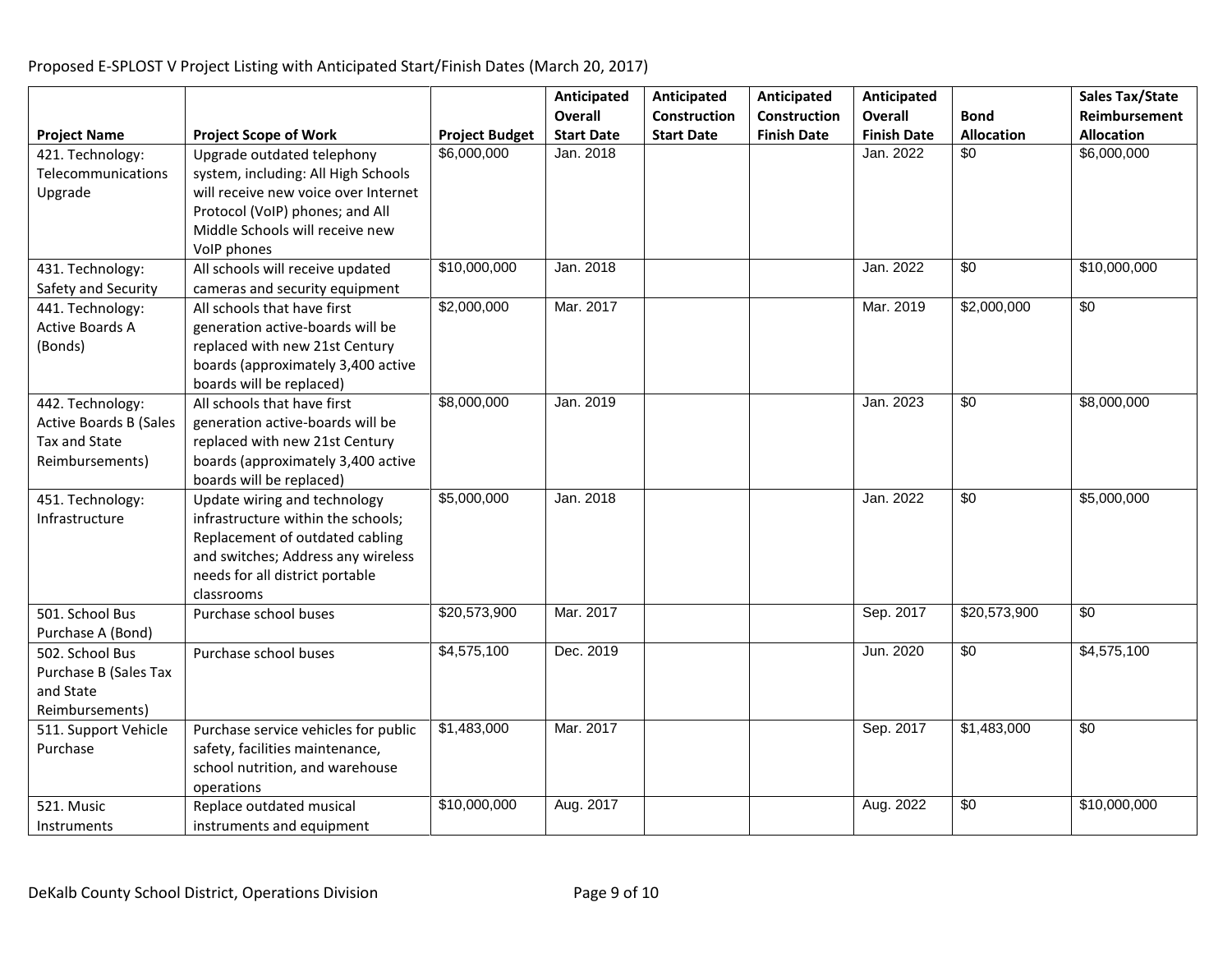#### **Project Name Project Scope of Work Project Budget Anticipated Overall Start Date Anticipated Construction Start Date Anticipated Construction Finish Date Anticipated Overall Finish Date Bond Allocation Sales Tax/State Reimbursement Allocation** 421. Technology: Telecommunications Upgrade Upgrade outdated telephony system, including: All High Schools will receive new voice over Internet Protocol (VoIP) phones; and All Middle Schools will receive new VoIP phones \$6,000,000 Jan. 2018 Jan. 2022 \$0 \$6,000,000 431. Technology: Safety and Security All schools will receive updated cameras and security equipment \$10,000,000 Jan. 2018 | Jan. 2022 \$0 \$10,000,000 Jan. 2018 441. Technology: Active Boards A (Bonds) All schools that have first generation active-boards will be replaced with new 21st Century boards (approximately 3,400 active boards will be replaced) \$2,000,000 Mar. 2017 Mar. 2019 \$2,000,000 \$0 442. Technology: Active Boards B (Sales Tax and State Reimbursements) All schools that have first generation active-boards will be replaced with new 21st Century boards (approximately 3,400 active boards will be replaced) \$8,000,000 Jan. 2019 Jan. 2023 \$0 \$8,000,000 451. Technology: Infrastructure Update wiring and technology infrastructure within the schools; Replacement of outdated cabling and switches; Address any wireless needs for all district portable classrooms \$5,000,000 | Jan. 2018 | | | Jan. 2022 | \$0 | \$5,000,000 501. School Bus Purchase A (Bond) Purchase school buses | \$20,573,900 | Mar. 2017 | Sep. 2017 | \$20,573,900 | \$0 502. School Bus Purchase B (Sales Tax and State Reimbursements) Purchase school buses \$4,575,100 Dec. 2019 Jun. 2020 \$0 \$4,575,100 511. Support Vehicle Purchase Purchase service vehicles for public safety, facilities maintenance, school nutrition, and warehouse operations \$1,483,000 Mar. 2017 Sep. 2017 \$1,483,000 \$0 521. Music Instruments Replace outdated musical instruments and equipment \$10,000,000 | Aug. 2017 | | Aug. 2022 | \$0 | \$10,000,000